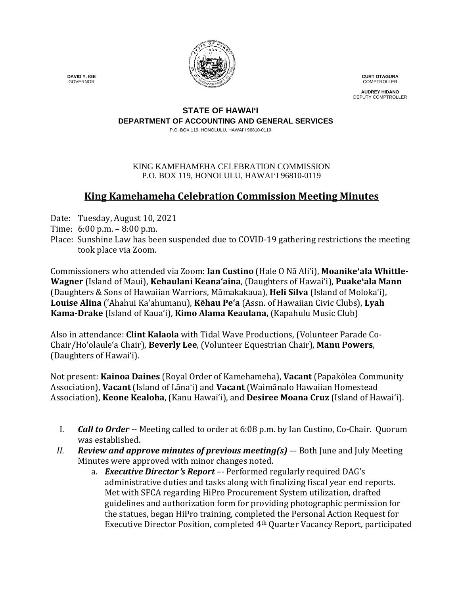

**CURT OTAGURA** COMPTROLLER

**AUDREY HIDANO** DEPUTY COMPTROLLER

### **STATE OF HAWAI'I DEPARTMENT OF ACCOUNTING AND GENERAL SERVICES**

P.O. BOX 119, HONOLULU, HAWAI`I 96810-0119

#### KING KAMEHAMEHA CELEBRATION COMMISSION P.O. BOX 119, HONOLULU, HAWAIʻI 96810-0119

# **King Kamehameha Celebration Commission Meeting Minutes**

- Date: Tuesday, August 10, 2021
- Time: 6:00 p.m. 8:00 p.m.
- Place: Sunshine Law has been suspended due to COVID-19 gathering restrictions the meeting took place via Zoom.

Commissioners who attended via Zoom: **Ian Custino** (Hale O Nā Ali'i), **Moanike'ala Whittle-Wagner** (Island of Maui), **Kehaulani Keana'aina**, (Daughters of Hawai'i), **Puake'ala Mann** (Daughters & Sons of Hawaiian Warriors, Māmakakaua), **Heli Silva** (Island of Molokaʻi), **Louise Alina** ('Ahahui Kaʻahumanu), **Kēhau Pe'a** (Assn. of Hawaiian Civic Clubs), **Lyah Kama-Drake** (Island of Kaua'i), **Kimo Alama Keaulana,** (Kapahulu Music Club)

Also in attendance: **Clint Kalaola** with Tidal Wave Productions, (Volunteer Parade Co-Chair/Ho'olaule'a Chair), **Beverly Lee**, (Volunteer Equestrian Chair), **Manu Powers**, (Daughters of Hawaiʻi).

Not present: **Kainoa Daines** (Royal Order of Kamehameha), **Vacant** (Papakōlea Community Association), **Vacant** (Island of Lāna'i) and **Vacant** (Waimānalo Hawaiian Homestead Association), **Keone Kealoha**, (Kanu Hawaiʻi), and **Desiree Moana Cruz** (Island of Hawai'i).

- I. *Call to Order* -- Meeting called to order at 6:08 p.m. by Ian Custino, Co-Chair. Quorum was established.
- *II. Review and approve minutes of previous meeting(s)* –- Both June and July Meeting Minutes were approved with minor changes noted.
	- a. *Executive Director*'*s Report* –- Performed regularly required DAG's administrative duties and tasks along with finalizing fiscal year end reports. Met with SFCA regarding HiPro Procurement System utilization, drafted guidelines and authorization form for providing photographic permission for the statues, began HiPro training, completed the Personal Action Request for Executive Director Position, completed 4th Quarter Vacancy Report, participated

 **DAVID Y. IGE** GOVERNOR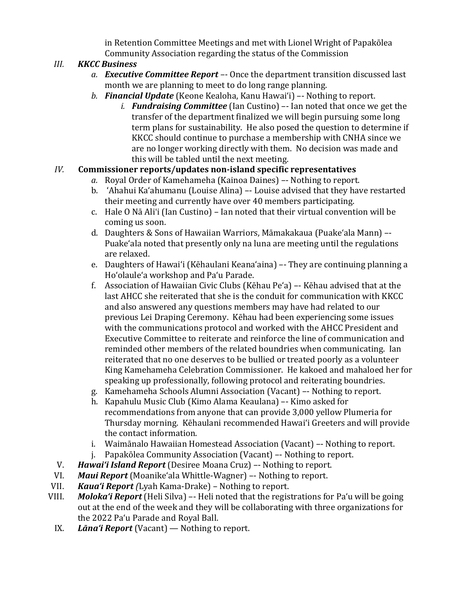in Retention Committee Meetings and met with Lionel Wright of Papakōlea Community Association regarding the status of the Commission

# *III. KKCC Business*

- *a. Executive Committee Report –-* Once the department transition discussed last month we are planning to meet to do long range planning.
- *b. Financial Update* (Keone Kealoha, Kanu Hawaiʻi) –- Nothing to report.
	- *i. Fundraising Committee* (Ian Custino) –- Ian noted that once we get the transfer of the department finalized we will begin pursuing some long term plans for sustainability. He also posed the question to determine if KKCC should continue to purchase a membership with CNHA since we are no longer working directly with them. No decision was made and this will be tabled until the next meeting.

## *IV.* **Commissioner reports/updates non-island specific representatives**

- *a.* Royal Order of Kamehameha (Kainoa Daines) –- Nothing to report.
- b. 'Ahahui Ka'ahumanu (Louise Alina) –- Louise advised that they have restarted their meeting and currently have over 40 members participating.
- c. Hale O Nā Ali'i (Ian Custino) Ian noted that their virtual convention will be coming us soon.
- d. Daughters & Sons of Hawaiian Warriors, Māmakakaua (Puake'ala Mann) –- Puake'ala noted that presently only na luna are meeting until the regulations are relaxed.
- e. Daughters of Hawai'i (Kēhaulani Keana'aina) –- They are continuing planning a Hoʻolauleʻa workshop and Paʻu Parade.
- f. Association of Hawaiian Civic Clubs (Kēhau Peʻa) –- Kēhau advised that at the last AHCC she reiterated that she is the conduit for communication with KKCC and also answered any questions members may have had related to our previous Lei Draping Ceremony. Kēhau had been experiencing some issues with the communications protocol and worked with the AHCC President and Executive Committee to reiterate and reinforce the line of communication and reminded other members of the related boundries when communicating. Ian reiterated that no one deserves to be bullied or treated poorly as a volunteer King Kamehameha Celebration Commissioner. He kakoed and mahaloed her for speaking up professionally, following protocol and reiterating boundries.
- g. Kamehameha Schools Alumni Association (Vacant) –- Nothing to report.
- h. Kapahulu Music Club (Kimo Alama Keaulana) –- Kimo asked for recommendations from anyone that can provide 3,000 yellow Plumeria for Thursday morning. Kēhaulani recommended Hawaiʻi Greeters and will provide the contact information.
- i. Waimānalo Hawaiian Homestead Association (Vacant) –- Nothing to report.
- j. Papakōlea Community Association (Vacant) –- Nothing to report.
- V. *Hawaiʻi Island Report* (Desiree Moana Cruz) –- Nothing to report.
- VI. **Maui Report** (Moanike'ala Whittle-Wagner) –- Nothing to report.<br>VII. **Kaua'i Report** (Lyah Kama-Drake) Nothing to report.
- VII. *Kauaʻi Report (*Lyah Kama-Drake) Nothing to report.
- *Moloka'i Report* (Heli Silva) –- Heli noted that the registrations for Pa'u will be going out at the end of the week and they will be collaborating with three organizations for the 2022 Paʻu Parade and Royal Ball.
- IX. *Lānaʻi Report* (Vacant) Nothing to report.